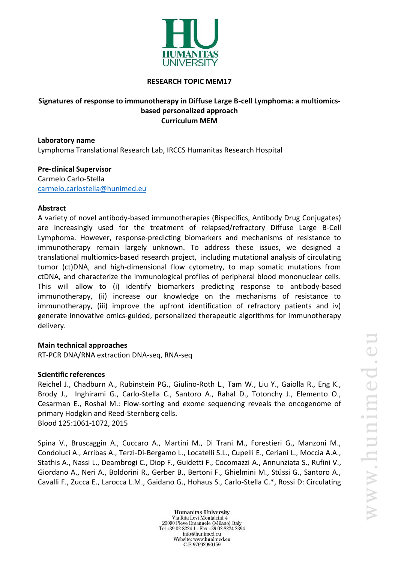

### **RESEARCH TOPIC MEM17**

## **Signatures of response to immunotherapy in Diffuse Large B-cell Lymphoma: a multiomicsbased personalized approach Curriculum MEM**

**Laboratory name** Lymphoma Translational Research Lab, IRCCS Humanitas Research Hospital

**Pre-clinical Supervisor** Carmelo Carlo-Stella [carmelo.carlostella@hunimed.eu](mailto:carmelo.carlostella@hunimed.eu)

## **Abstract**

A variety of novel antibody-based immunotherapies (Bispecifics, Antibody Drug Conjugates) are increasingly used for the treatment of relapsed/refractory Diffuse Large B-Cell Lymphoma. However, response-predicting biomarkers and mechanisms of resistance to immunotherapy remain largely unknown. To address these issues, we designed a translational multiomics-based research project, including mutational analysis of circulating tumor (ct)DNA, and high-dimensional flow cytometry, to map somatic mutations from ctDNA, and characterize the immunological profiles of peripheral blood mononuclear cells. This will allow to (i) identify biomarkers predicting response to antibody-based immunotherapy, (ii) increase our knowledge on the mechanisms of resistance to immunotherapy, (iii) improve the upfront identification of refractory patients and iv) generate innovative omics-guided, personalized therapeutic algorithms for immunotherapy delivery.

#### **Main technical approaches**

RT-PCR DNA/RNA extraction DNA-seq, RNA-seq

#### **Scientific references**

Reichel J., Chadburn A., Rubinstein PG., Giulino-Roth L., Tam W., Liu Y., Gaiolla R., Eng K., Brody J., Inghirami G., Carlo-Stella C., Santoro A., Rahal D., Totonchy J., Elemento O., Cesarman E., Roshal M.: Flow-sorting and exome sequencing reveals the oncogenome of primary Hodgkin and Reed-Sternberg cells. Blood 125:1061-1072, 2015

Spina V., Bruscaggin A., Cuccaro A., Martini M., Di Trani M., Forestieri G., Manzoni M., Condoluci A., Arribas A., Terzi-Di-Bergamo L., Locatelli S.L., Cupelli E., Ceriani L., Moccia A.A., Stathis A., Nassi L., Deambrogi C., Diop F., Guidetti F., Cocomazzi A., Annunziata S., Rufini V., Giordano A., Neri A., Boldorini R., Gerber B., Bertoni F., Ghielmini M., Stüssi G., Santoro A., Cavalli F., Zucca E., Larocca L.M., Gaidano G., Hohaus S., Carlo-Stella C.\*, Rossi D: Circulating

**Humanitas University** Via Rita Levi Montalcini 4 20090 Pieve Emanuele (Milano) Italy Tel +39.02.8224.1 - Fax +39.02.8224.2394 info@hunimed.eu Website: www.hunimed.eu C.F. 97692990159